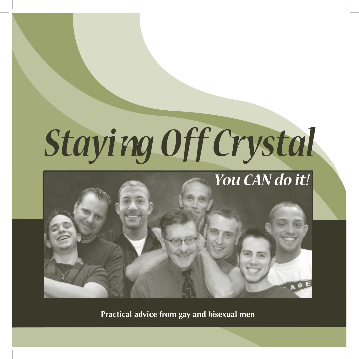# Staying Off Crystal



**Practical advice from gay and bisexual men**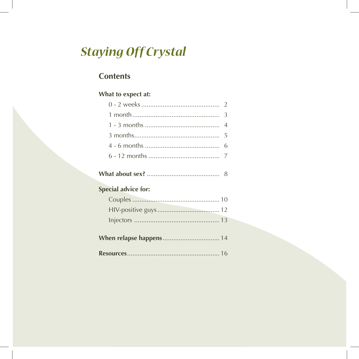# **Staying Off Crystal**

## **Contents**

## What to expect at:

| <b>Special advice for:</b> |  |
|----------------------------|--|

| .                         |  |
|---------------------------|--|
|                           |  |
| HIV-nositive <i>quive</i> |  |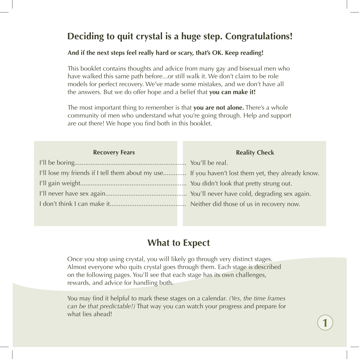# **Deciding to quit crystal is a huge step. Congratulations!**

#### **And if the next steps feel really hard or scary, that's OK. Keep reading!**

This booklet contains thoughts and advice from many gay and bisexual men who have walked this same path before...or still walk it. We don't claim to be role models for perfect recovery. We've made some mistakes, and we don't have all the answers. But we do offer hope and a belief that **you can make it!** 

The most important thing to remember is that **you are not alone.** There's a whole community of men who understand what you're going through. Help and support are out there! We hope you find both in this booklet.

| <b>Recovery Fears</b>                                                                             | <b>Reality Check</b> |
|---------------------------------------------------------------------------------------------------|----------------------|
|                                                                                                   |                      |
| I'll lose my friends if I tell them about my use If you haven't lost them yet, they already know. |                      |
|                                                                                                   |                      |
|                                                                                                   |                      |
|                                                                                                   |                      |

# **What to Expect**

Once you stop using crystal, you will likely go through very distinct stages. Almost everyone who quits crystal goes through them. Each stage is described on the following pages. You'll see that each stage has its own challenges, rewards, and advice for handling both.

You may find it helpful to mark these stages on a calendar. *(Yes, the time frames can be that predictable!)* That way you can watch your progress and prepare for what lies ahead!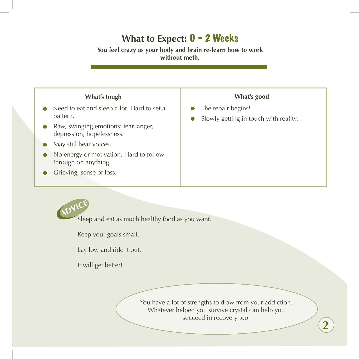# What to Expect: **0 - 2 Weeks**

**You feel crazy as your body and brain re-learn how to work without meth.**

## **What's tough**

- Need to eat and sleep a lot. Hard to set a  $\bullet$ pattern.
- Raw, swinging emotions: fear, anger, depression, hopelessness.
- May still hear voices.
- No energy or motivation. Hard to follow through on anything.
- Grieving, sense of loss.

## **What's good**

- The repair begins!
- Slowly getting in touch with reality.



Sleep and eat as much healthy food as you want.

Keep your goals small.

Lay low and ride it out.

It will get better!

You have a lot of strengths to draw from your addiction. Whatever helped you survive crystal can help you succeed in recovery too.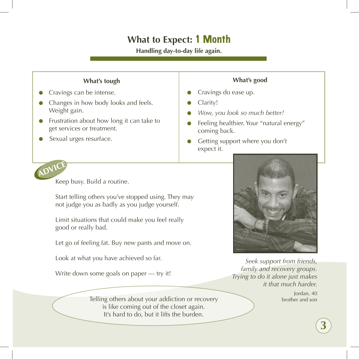# **What to Expect:** 1 Month

**Handling day-to-day life again.**

## **What's tough**

- Cravings can be intense.
- Changes in how body looks and feels. Weight gain.
- Frustration about how long it can take to get services or treatment.
- Sexual urges resurface.

#### **What's good**

- Cravings do ease up.
- Clarity!
- *Wow, you look so much better!*
- Feeling healthier. Your "natural energy" coming back.
- Getting support where you don't expect it.



Keep busy. Build a routine.

Start telling others you've stopped using. They may not judge you as badly as you judge yourself.

Limit situations that could make you feel really good or really bad.

Let go of feeling fat. Buy new pants and move on.

Look at what you have achieved so far.

Write down some goals on paper — try it!

Telling others about your addiction or recovery is like coming out of the closet again. It's hard to do, but it lifts the burden.



*Seek support from friends, family and recovery groups. Trying to do it alone just makes it that much harder.*

> Jordan, 40 brother and son

> > **3**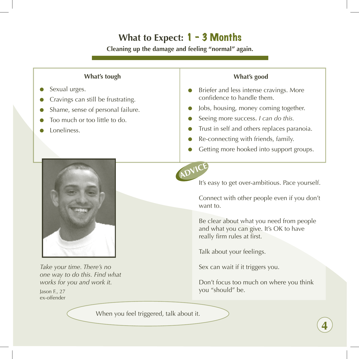# What to Expect:  $1 - 3$  **Months**

**Cleaning up the damage and feeling "normal" again.**

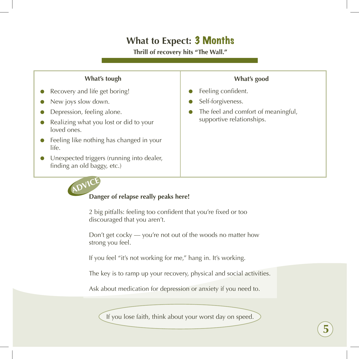# **What to Expect:** 3 Months

**Thrill of recovery hits "The Wall."**

## **What's tough**

- Recovery and life get boring!  $\bullet$
- New joys slow down.
- Depression, feeling alone.
- Realizing what you lost or did to your Δ loved ones.
- Feeling like nothing has changed in your life.
- Unexpected triggers (running into dealer,  $\bullet$ finding an old baggy, etc.)



## **Danger of relapse really peaks here!**

2 big pitfalls: feeling too confident that you're fixed or too discouraged that you aren't.

Don't get cocky — you're not out of the woods no matter how strong you feel.

If you feel "it's not working for me," hang in. It's working.

The key is to ramp up your recovery, physical and social activities.

Ask about medication for depression or anxiety if you need to.

If you lose faith, think about your worst day on speed.

## **What's good**

 **5**

- Feeling confident.
- Self-forgiveness.
- The feel and comfort of meaningful, supportive relationships.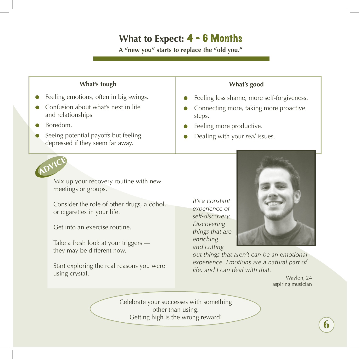# **What to Expect:** 4 - 6 Months

**A "new you" starts to replace the "old you."**

## **What's tough**

- Feeling emotions, often in big swings.
- Confusion about what's next in life and relationships.
- Boredom.
- Seeing potential payoffs but feeling depressed if they seem far away.

## **What's good**

- Feeling less shame, more self-forgiveness.
- Connecting more, taking more proactive steps.
- Feeling more productive.
- Dealing with your *real* issues.



Mix-up your recovery routine with new meetings or groups.

Consider the role of other drugs, alcohol, or cigarettes in your life.

Get into an exercise routine.

Take a fresh look at your triggers they may be different now.

Start exploring the real reasons you were using crystal.

*It's a constant experience of self-discovery. Discovering things that are enriching and cutting* 



*out things that aren't can be an emotional experience. Emotions are a natural part of life, and I can deal with that.*

> Waylon, 24 aspiring musician

Celebrate your successes with something other than using. Getting high is the wrong reward!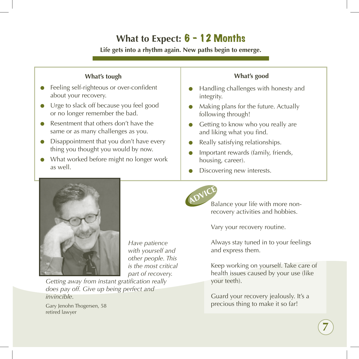# **What to Expect:** 6 - 12 Months

**Life gets into a rhythm again. New paths begin to emerge.**

## **What's tough**

- Feeling self-righteous or over-confident about your recovery.
- Urge to slack off because you feel good or no longer remember the bad.
- Resentment that others don't have the  $\bullet$ same or as many challenges as you.
- Disappointment that you don't have every thing you thought you would by now.
- What worked before might no longer work as well.

## **What's good**

- Handling challenges with honesty and integrity.
- Making plans for the future. Actually following through!
- Getting to know who you really are and liking what you find.
- Really satisfying relationships.
- Important rewards (family, friends, housing, career).
- Discovering new interests.



*Have patience with yourself and other people. This is the most critical part of recovery.*

*Getting away from instant gratification really does pay off. Give up being perfect and invincible.* 

Gary Jenohn Thogersen, 58 retired lawyer



Balance your life with more nonrecovery activities and hobbies.

Vary your recovery routine.

Always stay tuned in to your feelings and express them.

Keep working on yourself. Take care of health issues caused by your use (like your teeth).

Guard your recovery jealously. It's a precious thing to make it so far!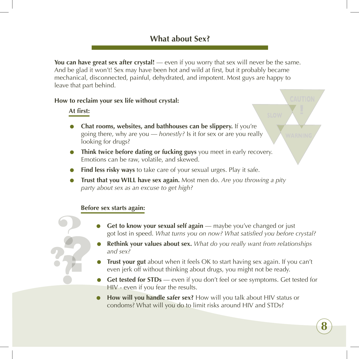# **What about Sex?**

**You can have great sex after crystal!** — even if you worry that sex will never be the same. And be glad it won't! Sex may have been hot and wild at first, but it probably became mechanical, disconnected, painful, dehydrated, and impotent. Most guys are happy to leave that part behind.

#### **How to reclaim your sex life without crystal:**

#### **At first:**

- **Chat rooms, websites, and bathhouses can be slippery.** If you're going there, why are you — *honestly?* Is it for sex or are you really looking for drugs?
- **Think twice before dating or fucking guys** you meet in early recovery. Emotions can be raw, volatile, and skewed.
- **Find less risky ways** to take care of your sexual urges. Play it safe.
- **Trust that you WILL have sex again.** Most men do. *Are you throwing a pity party about sex as an excuse to get high?*

#### **Before sex starts again:**

- **Get to know your sexual self again** maybe you've changed or just got lost in speed. *What turns you on now? What satisfied you before crystal?*
- **Rethink your values about sex.** *What do you really want from relationships and sex?*
- **Trust your gut** about when it feels OK to start having sex again. If you can't even jerk off without thinking about drugs, you might not be ready.
- **Get tested for STDs** even if you don't feel or see symptoms. Get tested for HIV - even if you fear the results.
- **How will you handle safer sex?** How will you talk about HIV status or condoms? What will you do to limit risks around HIV and STDs?

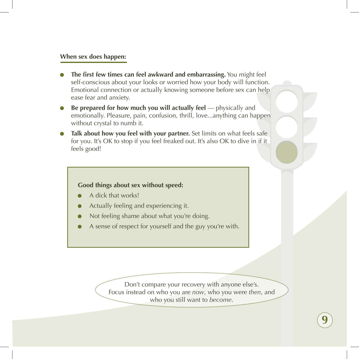#### **When sex does happen:**

- **The first few times can feel awkward and embarrassing.** You might feel self-conscious about your looks or worried how your body will function. Emotional connection or actually knowing someone before sex can help ease fear and anxiety.
- **Be prepared for how much you will actually feel** physically and emotionally. Pleasure, pain, confusion, thrill, love...anything can happen without crystal to numb it.
- **Talk about how you feel with your partner.** Set limits on what feels safe for you. It's OK to stop if you feel freaked out. It's also OK to dive in if it feels good!

#### **Good things about sex without speed:**

- A dick that works!
- Actually feeling and experiencing it.
- Not feeling shame about what you're doing.
- A sense of respect for yourself and the guy you're with.

Don't compare your recovery with anyone else's. Focus instead on who you are *now*, who you were *then*, and who you still want to *become*.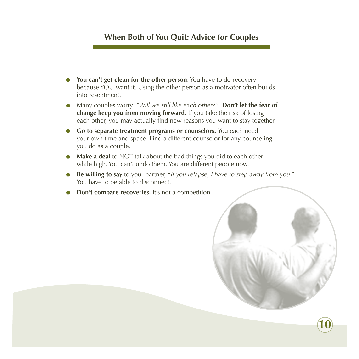## **When Both of You Quit: Advice for Couples**

- You can't get clean for the other person. You have to do recovery because YOU want it. Using the other person as a motivator often builds into resentment.
- Many couples worry, *"Will we still like each other?"* **Don't let the fear of change keep you from moving forward.** If you take the risk of losing each other, you may actually find new reasons you want to stay together.
- **Go to separate treatment programs or counselors.** You each need your own time and space. Find a different counselor for any counseling you do as a couple.
- **Make a deal** to NOT talk about the bad things you did to each other while high. You can't undo them. You are different people now.
- **Be willing to say** to your partner, "*If you relapse, I have to step away from you*." You have to be able to disconnect.
- **Don't compare recoveries.** It's not a competition.



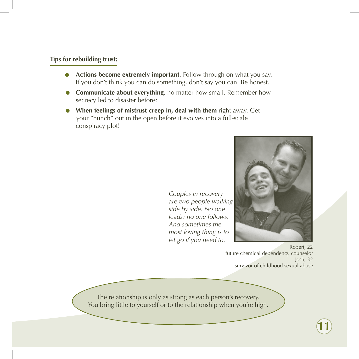#### **Tips for rebuilding trust:**

- **Actions become extremely important**. Follow through on what you say.  $\bullet$ If you don't think you can do something, don't say you can. Be honest.
- **Communicate about everything**, no matter how small. Remember how secrecy led to disaster before?
- **When feelings of mistrust creep in, deal with them** right away. Get your "hunch" out in the open before it evolves into a full-scale conspiracy plot!

*Couples in recovery are two people walking side by side. No one leads; no one follows. And sometimes the most loving thing is to let go if you need to.*



 Robert, 22 future chemical dependency counselor Josh, 32 survivor of childhood sexual abuse

**11**

The relationship is only as strong as each person's recovery. You bring little to yourself or to the relationship when you're high.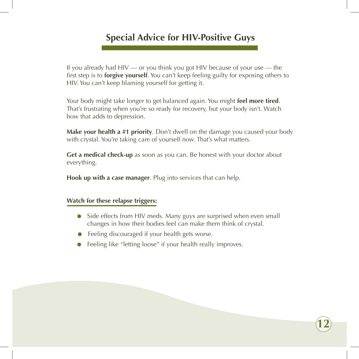# **Special Advice for HIV-Positive Guys**

If you already had HIV — or you think you got HIV because of your use — the first step is to **forgive yourself**. You can't keep feeling guilty for exposing others to HIV. You can't keep blaming yourself for getting it.

Your body might take longer to get balanced again. You might **feel more tired**. That's frustrating when you're so ready for recovery, but your body isn't. Watch how that adds to depression.

**Make your health a #1 priority**. Don't dwell on the damage you caused your body with crystal. You're taking care of yourself now. That's what matters.

**Get a medical check-up** as soon as you can. Be honest with your doctor about everything.

**Hook up with a case manager**. Plug into services that can help.

#### **Watch for these relapse triggers:**

- Side effects from HIV meds. Many guys are surprised when even small changes in how their bodies feel can make them think of crystal.
- Feeling discouraged if your health gets worse.
- Feeling like "letting loose" if your health really improves. $\bullet$

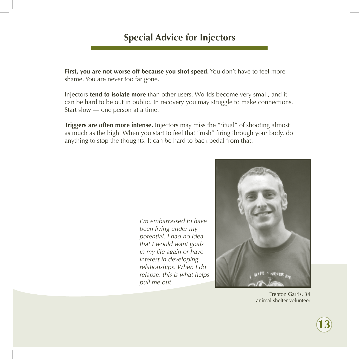# **Special Advice for Injectors**

**First, you are not worse off because you shot speed.** You don't have to feel more shame. You are never too far gone.

Injectors **tend to isolate more** than other users. Worlds become very small, and it can be hard to be out in public. In recovery you may struggle to make connections. Start slow — one person at a time.

**Triggers are often more intense.** Injectors may miss the "ritual" of shooting almost as much as the high. When you start to feel that "rush" firing through your body, do anything to stop the thoughts. It can be hard to back pedal from that.

> *I'm embarrassed to have been living under my potential. I had no idea that I would want goals in my life again or have interest in developing relationships. When I do relapse, this is what helps pull me out.*



Trenton Garris, 34 animal shelter volunteer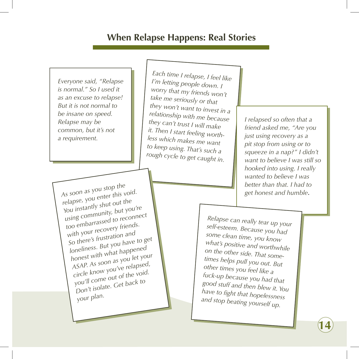# **When Relapse Happens: Real Stories**

*Everyone said, "Relapse is normal." So I used it as an excuse to relapse! But it is not normal to be insane on speed. Relapse may be common, but it's not a requirement.*

*Each time I relapse, I feel like I'm letting people down. I worry that my friends won't take me seriously or that they won't want to invest in a relationship with me because they can't trust I will make it. Then I start feeling worthless which makes me want to keep using. That's such a rough cycle to get caught in.*

*I relapsed so often that a friend asked me, "Are you just using recovery as a pit stop from using or to squeeze in a nap?" I didn't want to believe I was still so hooked into using. I really wanted to believe I was better than that. I had to get honest and humble*.

*As soon as you stop the relapse, you enter this void. You instantly shut out the using community, but you're too embarrassed to reconnect with your recovery friends. So there's frustration and loneliness. But you have to get honest with what happened ASAP. As soon as you let your circle know you've relapsed, you'll come out of the void. Don't isolate. Get back to your plan.*

*Relapse can really tear up your self-esteem. Because you had some clean time, you know what's positive and worthwhile on the other side. That sometimes helps pull you out. But other times you feel like a fuck-up because you had that good stuff and then blew it. You have to fight that hopelessness and stop beating yourself up.*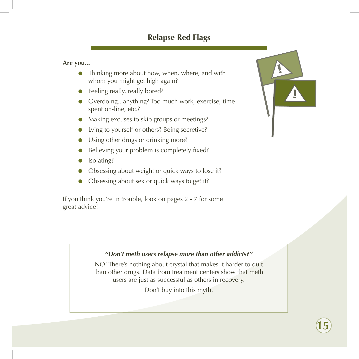# **Relapse Red Flags**

#### **Are you...**

- Thinking more about how, when, where, and with whom you might get high again?
- Feeling really, really bored?
- Overdoing...anything? Too much work, exercise, time spent on-line, etc.?
- Making excuses to skip groups or meetings?
- Lying to yourself or others? Being secretive?
- Using other drugs or drinking more?
- Believing your problem is completely fixed?
- Isolating?
- Obsessing about weight or quick ways to lose it?
- Obsessing about sex or quick ways to get it?  $\bullet$

If you think you're in trouble, look on pages 2 - 7 for some great advice!



#### *"Don't meth users relapse more than other addicts?"*

NO! There's nothing about crystal that makes it harder to quit than other drugs. Data from treatment centers show that meth users are just as successful as others in recovery.

Don't buy into this myth.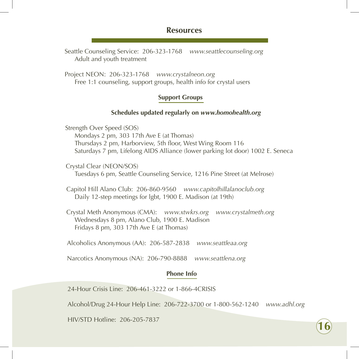#### **Resources**

Seattle Counseling Service: 206-323-1768 *www.seattlecounseling.org* Adult and youth treatment

Project NEON: 206-323-1768 *www.crystalneon.org* Free 1:1 counseling, support groups, health info for crystal users

#### **Support Groups**

#### **Schedules updated regularly on** *www.homohealth.org*

Strength Over Speed (SOS) Mondays 2 pm, 303 17th Ave E (at Thomas) Thursdays 2 pm, Harborview, 5th floor, West Wing Room 116 Saturdays 7 pm, Lifelong AIDS Alliance (lower parking lot door) 1002 E. Seneca

Crystal Clear (NEON/SOS) Tuesdays 6 pm, Seattle Counseling Service, 1216 Pine Street (at Melrose)

Capitol Hill Alano Club: 206-860-9560 *www.capitolhillalanoclub.org*  Daily 12-step meetings for lgbt, 1900 E. Madison (at 19th)

Crystal Meth Anonymous (CMA): *www.xtwkrs.org www.crystalmeth.org* Wednesdays 8 pm, Alano Club, 1900 E. Madison Fridays 8 pm, 303 17th Ave E (at Thomas)

Alcoholics Anonymous (AA): 206-587-2838 *www.seattleaa.org*

Narcotics Anonymous (NA): 206-790-8888 *www.seattlena.org* 

#### **Phone Info**

24-Hour Crisis Line: 206-461-3222 or 1-866-4CRISIS

Alcohol/Drug 24-Hour Help Line: 206-722-3700 or 1-800-562-1240 *www.adhl.org*

**16**

HIV/STD Hotline: 206-205-7837